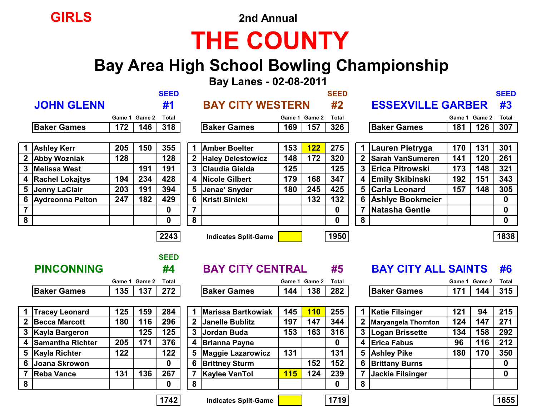

# **THE COUNTY**

#### **Bay Area High School Bowling Championship**

 **Bay Lanes - 02-08-2011**

|                |                         |     |               | <b>SEED</b>      |                |                             |            |               | <b>SEED</b>  |                |                            |     |               | <b>SEED</b>  |
|----------------|-------------------------|-----|---------------|------------------|----------------|-----------------------------|------------|---------------|--------------|----------------|----------------------------|-----|---------------|--------------|
|                | <b>JOHN GLENN</b>       |     |               | #1               |                | <b>BAY CITY WESTERN</b>     |            |               | #2           |                | <b>ESSEXVILLE GARBER</b>   |     |               | #3           |
|                |                         |     | Game 1 Game 2 | <b>Total</b>     |                |                             |            | Game 1 Game 2 | <b>Total</b> |                |                            |     | Game 1 Game 2 | <b>Total</b> |
|                | <b>Baker Games</b>      | 172 | 146           | 318              |                | <b>Baker Games</b>          | 169        | 157           | 326          |                | <b>Baker Games</b>         | 181 | 126           | 307          |
|                |                         |     |               |                  |                |                             |            |               |              |                |                            |     |               |              |
|                | <b>Ashley Kerr</b>      | 205 | 150           | 355              |                | <b>Amber Boelter</b>        | 153        | <b>122</b>    | 275          |                | Lauren Pietryga            | 170 | 131           | 301          |
|                | 2 Abby Wozniak          | 128 |               | 128              | $\mathbf{2}$   | <b>Haley Delestowicz</b>    | 148        | 172           | 320          | 2 <sup>1</sup> | <b>Sarah VanSumeren</b>    | 141 | 120           | 261          |
| 3              | <b>Melissa West</b>     |     | 191           | 191              | 3              | Claudia Gielda              | 125        |               | 125          | 3              | <b>Erica Pitrowski</b>     | 173 | 148           | 321          |
| 4              | <b>Rachel Lokajtys</b>  | 194 | 234           | 428              | 4              | Nicole Gilbert              | 179        | 168           | 347          |                | 4 Emily Skibinski          | 192 | 151           | 343          |
| 5              | Jenny LaClair           | 203 | 191           | 394              | 5              | Jenae' Snyder               | 180        | 245           | 425          | 5              | <b>Carla Leonard</b>       | 157 | 148           | 305          |
| 6              | <b>Aydreonna Pelton</b> | 247 | 182           | 429              | 6              | <b>Kristi Sinicki</b>       |            | 132           | 132          | 6              | <b>Ashlye Bookmeier</b>    |     |               | $\mathbf 0$  |
| $\overline{7}$ |                         |     |               | $\boldsymbol{0}$ | $\overline{7}$ |                             |            |               | $\mathbf 0$  |                | <b>Natasha Gentle</b>      |     |               | $\mathbf 0$  |
| 8              |                         |     |               | $\mathbf 0$      | 8              |                             |            |               | $\mathbf{0}$ | 8              |                            |     |               | $\mathbf 0$  |
|                |                         |     |               | 2243             |                | <b>Indicates Split-Game</b> |            |               | 1950         |                |                            |     |               | 1838         |
|                |                         |     |               |                  |                |                             |            |               |              |                |                            |     |               |              |
|                |                         |     |               | <b>SEED</b>      |                |                             |            |               |              |                |                            |     |               |              |
|                | <b>PINCONNING</b>       |     |               | #4               |                | <b>BAY CITY CENTRAL</b>     |            |               | #5           |                | <b>BAY CITY ALL SAINTS</b> |     |               | #6           |
|                |                         |     | Game 1 Game 2 | <b>Total</b>     |                |                             |            | Game 1 Game 2 | <b>Total</b> |                |                            |     | Game 1 Game 2 | <b>Total</b> |
|                | <b>Baker Games</b>      | 135 | 137           | 272              |                | <b>Baker Games</b>          | 144        | 138           | 282          |                | <b>Baker Games</b>         | 171 | 144           | 315          |
|                |                         |     |               |                  |                |                             |            |               |              |                |                            |     |               |              |
|                | <b>Tracey Leonard</b>   | 125 | 159           | 284              |                | <b>Marissa Bartkowiak</b>   | 145        | <b>110</b>    | 255          |                | <b>Katie Filsinger</b>     | 121 | 94            | 215          |
|                | <b>Becca Marcott</b>    | 180 | 116           | 296              | $\mathbf 2$    | <b>Janelle Bublitz</b>      | 197        | 147           | 344          |                | <b>Maryangela Thornton</b> | 124 | 147           | 271          |
| $\mathbf{3}$   | <b>Kayla Bargeron</b>   |     | 125           | 125              | 3              | <b>Jordan Buda</b>          | 153        | 163           | 316          | 3              | Logan Brissette            | 134 | 158           | 292          |
| 4              | Samantha Richter        | 205 | 171           | 376              | 4              | <b>Brianna Payne</b>        |            |               | $\mathbf 0$  | 4              | <b>Erica Fabus</b>         | 96  | 116           | 212          |
| 5              | <b>Kayla Richter</b>    | 122 |               | 122              | 5              | <b>Maggie Lazarowicz</b>    | 131        |               | 131          |                | 5 Ashley Pike              | 180 | 170           | 350          |
| 6              | <b>Joana Skrowon</b>    |     |               | $\mathbf 0$      | 6              | <b>Brittney Sturm</b>       |            | 152           | 152          | 6              | <b>Brittany Burns</b>      |     |               | $\mathbf 0$  |
|                | <b>Reba Vance</b>       | 131 | 136           | 267              | $\overline{7}$ | <b>Kaylee VanTol</b>        | <b>115</b> | 124           | 239          |                | <b>Jackie Filsinger</b>    |     |               | $\mathbf 0$  |

**8 0 8 0 8**

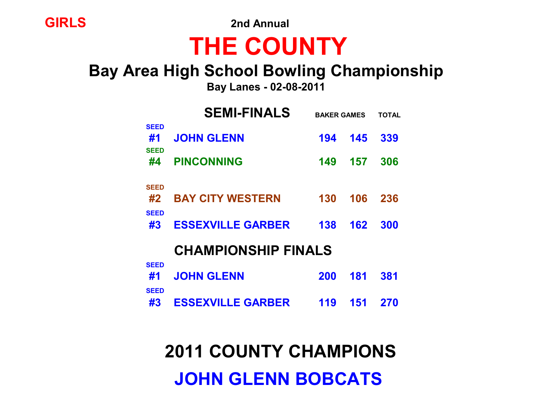**GIRLS 2nd Annual**

# **THE COUNTY**

#### **Bay Area High School Bowling Championship**

 **Bay Lanes - 02-08-2011**

|                                  | <b>SEMI-FINALS</b>         | <b>BAKER GAMES</b> | TOTAL |     |
|----------------------------------|----------------------------|--------------------|-------|-----|
| <b>SEED</b><br>#1<br><b>SEED</b> | <b>JOHN GLENN</b>          | 194                | 145   | 339 |
| #4                               | <b>PINCONNING</b>          | 149                | 157   | 306 |
| <b>SEED</b>                      |                            |                    |       |     |
| #2                               | <b>BAY CITY WESTERN</b>    | 130                | 106   | 236 |
| <b>SEED</b><br>#3                | <b>ESSEXVILLE GARBER</b>   | 138                | 162   | 300 |
|                                  | <b>CHAMPIONSHIP FINALS</b> |                    |       |     |
| <b>SEED</b>                      |                            |                    |       |     |
| #1                               | <b>JOHN GLENN</b>          | 200                | 181   | 381 |
| <b>SEED</b><br>#3                | <b>ESSEXVILLE GARBER</b>   | 119                | 151   | 270 |
|                                  |                            |                    |       |     |

 **2011 COUNTY CHAMPIONS**

 **JOHN GLENN BOBCATS**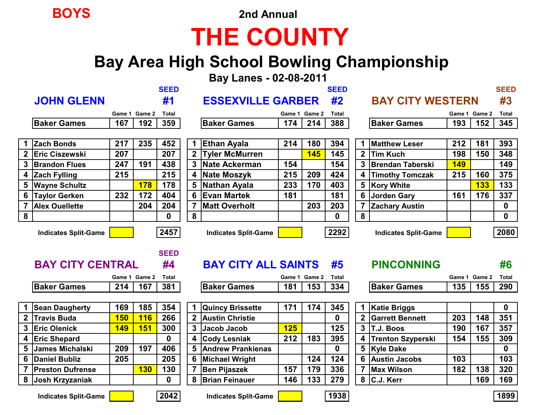**BOYS 2nd Annual**

## **THE COUNTY**

### **Bay Area High School Bowling Championship**

 **Bay Lanes - 02-08-2011**

|                  |                             |            |               | <b>SEED</b>       |   |                             |     |               | <b>SEED</b>  |              |                             |            |               | <b>SEED</b>  |
|------------------|-----------------------------|------------|---------------|-------------------|---|-----------------------------|-----|---------------|--------------|--------------|-----------------------------|------------|---------------|--------------|
|                  | <b>JOHN GLENN</b>           |            |               | #1                |   | <b>ESSEXVILLE GARBER</b>    |     |               | #2           |              | <b>BAY CITY WESTERN</b>     |            |               | #3           |
|                  |                             |            | Game 1 Game 2 | <b>Total</b>      |   |                             |     | Game 1 Game 2 | <b>Total</b> |              |                             |            | Game 1 Game 2 | <b>Total</b> |
|                  | <b>Baker Games</b>          | 167        | 192           | 359               |   | <b>Baker Games</b>          | 174 | 214           | 388          |              | <b>Baker Games</b>          | 193        | 152           | 345          |
|                  |                             |            |               |                   |   |                             |     |               |              |              |                             |            |               |              |
|                  | 1 Zach Bonds                | 217        | 235           | 452               |   | <b>Ethan Ayala</b>          | 214 | 180           | 394          |              | <b>Matthew Leser</b>        | 212        | 181           | 393          |
| $\mathbf{2}$     | <b>Eric Ciszewski</b>       | 207        |               | 207               |   | 2 Tyler McMurren            |     | <b>145</b>    | 145          | $\mathbf{p}$ | <b>Tim Kuch</b>             | 198        | 150           | 348          |
| 3                | <b>Brandon Flues</b>        | 247        | 191           | 438               | 3 | Nate Ackerman               | 154 |               | 154          |              | <b>Brendan Taberski</b>     | <b>149</b> |               | 149          |
|                  | 4 Zach Fylling              | 215        |               | 215               | 4 | Nate Moszyk                 | 215 | 209           | 424          |              | <b>Timothy Tomczak</b>      | 215        | 160           | 375          |
|                  | 5 Wayne Schultz             |            | <b>178</b>    | 178               | 5 | Nathan Ayala                | 233 | 170           | 403          |              | Kory White<br>5             |            | <b>133</b>    | 133          |
| 6                | Taylor Gerken               | 232        | 172           | 404               | 6 | <b>IEvan Martek</b>         | 181 |               | 181          |              | <b>Jorden Gary</b>          | 161        | 176           | 337          |
| 7                | <b>Alex Ouellette</b>       |            | 204           | 204               |   | <b>Matt Overholt</b>        |     | 203           | 203          |              | <b>Zachary Austin</b>       |            |               | 0            |
| $\boldsymbol{8}$ |                             |            |               | 0                 | 8 |                             |     |               | 0            |              | 8                           |            |               | $\mathbf 0$  |
|                  |                             |            |               |                   |   |                             |     |               |              |              |                             |            |               |              |
|                  | <b>Indicates Split-Game</b> |            |               | 2457              |   | <b>Indicates Split-Game</b> |     |               | 2292         |              | <b>Indicates Split-Game</b> |            |               | 2080         |
|                  | <b>BAY CITY CENTRAL</b>     |            |               | <b>SEED</b><br>#4 |   | <b>BAY CITY ALL SAINTS</b>  |     |               | #5           |              | <b>PINCONNING</b>           |            |               | #6           |
|                  |                             |            | Game 1 Game 2 | <b>Total</b>      |   |                             |     | Game 1 Game 2 | <b>Total</b> |              |                             |            | Game 1 Game 2 | <b>Total</b> |
|                  | <b>Baker Games</b>          | 214        | 167           | 381               |   | <b>Baker Games</b>          | 181 | 153           | 334          |              | <b>Baker Games</b>          | 135        | 155           | 290          |
|                  |                             |            |               |                   |   |                             |     |               |              |              |                             |            |               |              |
|                  | 1 Sean Daugherty            | 169        | 185           | 354               |   | <b>Quincy Brissette</b>     | 171 | 174           | 345          |              | <b>Katie Briggs</b>         |            |               | $\mathbf 0$  |
|                  | 2 Travis Buda               | <b>150</b> | <b>116</b>    | 266               |   | 2 Austin Christie           |     |               | 0            | $\mathbf{2}$ | <b>Garrett Bennett</b>      | 203        | 148           | 351          |
|                  | 3 Eric Olenick              | <b>149</b> | <b>151</b>    | 300               | 3 | Jacob Jacob                 | 125 |               | 125          | 3            | T.J. Boos                   | 190        | 167           | 357          |
| 4                | <b>Eric Shepard</b>         |            |               | 0                 |   | <b>Cody Lesniak</b>         | 212 | 183           | 395          |              | <b>Trenton Szyperski</b>    | 154        | 155           | 309          |
| 5                | <b>James Michalski</b>      | 209        | 197           | 406               |   | 5 Andrew Prankienas         |     |               | 0            |              | 5 Kyle Dake                 |            |               | 0            |

**Indicates Split-Game 2042 Indicates Split-Game 1938 1899**

**7 Preston Dufrense 130 130 7 Ben Pijaszek 157 179 336 7 Max Wilson 182 138 320 8 Josh Krzyzaniak 0 8 Brian Feinauer 146 133 279 8 C.J. Kerr 169 169**



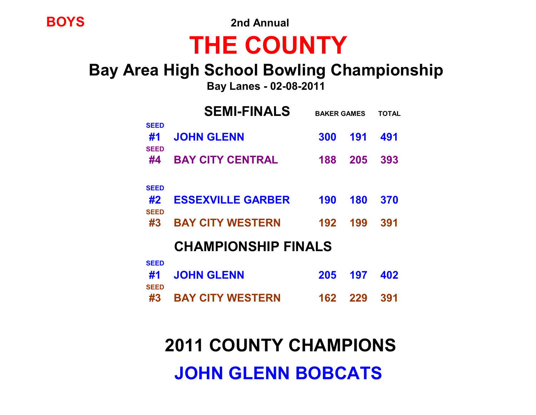**BOYS 2nd Annual**

# **THE COUNTY**

### **Bay Area High School Bowling Championship**

 **Bay Lanes - 02-08-2011**

|                                  | <b>SEMI-FINALS</b>         |     | <b>BAKER GAMES</b> |     |  |  |  |
|----------------------------------|----------------------------|-----|--------------------|-----|--|--|--|
| <b>SEED</b><br>#1<br><b>SEED</b> | <b>JOHN GLENN</b>          | 300 | 191                | 491 |  |  |  |
| #4                               | <b>BAY CITY CENTRAL</b>    | 188 | 205                | 393 |  |  |  |
| <b>SEED</b>                      |                            |     |                    |     |  |  |  |
| #2                               | <b>ESSEXVILLE GARBER</b>   | 190 | 180                | 370 |  |  |  |
| <b>SEED</b><br>#3                | <b>BAY CITY WESTERN</b>    | 192 | 199                | 391 |  |  |  |
|                                  | <b>CHAMPIONSHIP FINALS</b> |     |                    |     |  |  |  |
| <b>SEED</b>                      |                            |     |                    |     |  |  |  |
| #1                               | <b>JOHN GLENN</b>          | 205 | 197                | 402 |  |  |  |
| <b>SEED</b><br>#3                | <b>BAY CITY WESTERN</b>    | 162 | 229                | 391 |  |  |  |

## **2011 COUNTY CHAMPIONS**

## **JOHN GLENN BOBCATS**